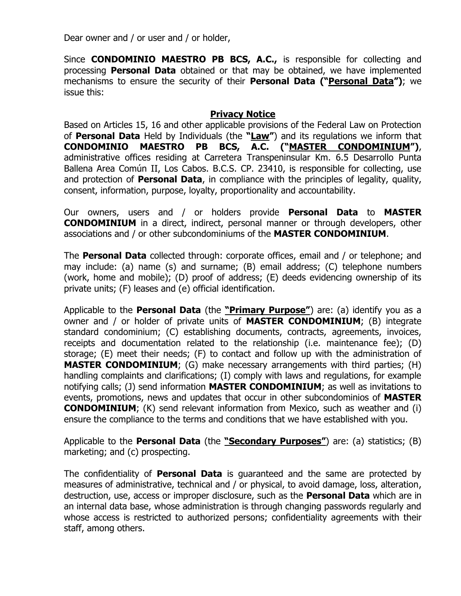Dear owner and / or user and / or holder,

Since **CONDOMINIO MAESTRO PB BCS, A.C.,** is responsible for collecting and processing **Personal Data** obtained or that may be obtained, we have implemented mechanisms to ensure the security of their **Personal Data ("Personal Data")**; we issue this:

## **Privacy Notice**

Based on Articles 15, 16 and other applicable provisions of the Federal Law on Protection of **Personal Data** Held by Individuals (the **"Law"**) and its regulations we inform that **CONDOMINIO MAESTRO PB BCS, A.C. ("MASTER CONDOMINIUM")**, administrative offices residing at Carretera Transpeninsular Km. 6.5 Desarrollo Punta Ballena Area Común II, Los Cabos. B.C.S. CP. 23410, is responsible for collecting, use and protection of **Personal Data**, in compliance with the principles of legality, quality, consent, information, purpose, loyalty, proportionality and accountability.

Our owners, users and / or holders provide **Personal Data** to **MASTER CONDOMINIUM** in a direct, indirect, personal manner or through developers, other associations and / or other subcondominiums of the **MASTER CONDOMINIUM**.

The **Personal Data** collected through: corporate offices, email and / or telephone; and may include: (a) name (s) and surname; (B) email address; (C) telephone numbers (work, home and mobile); (D) proof of address; (E) deeds evidencing ownership of its private units; (F) leases and (e) official identification.

Applicable to the **Personal Data** (the **"Primary Purpose"**) are: (a) identify you as a owner and / or holder of private units of **MASTER CONDOMINIUM**; (B) integrate standard condominium; (C) establishing documents, contracts, agreements, invoices, receipts and documentation related to the relationship (i.e. maintenance fee); (D) storage; (E) meet their needs; (F) to contact and follow up with the administration of **MASTER CONDOMINIUM**; (G) make necessary arrangements with third parties; (H) handling complaints and clarifications; (I) comply with laws and regulations, for example notifying calls; (J) send information **MASTER CONDOMINIUM**; as well as invitations to events, promotions, news and updates that occur in other subcondominios of **MASTER CONDOMINIUM**; (K) send relevant information from Mexico, such as weather and (i) ensure the compliance to the terms and conditions that we have established with you.

Applicable to the **Personal Data** (the **"Secondary Purposes"**) are: (a) statistics; (B) marketing; and (c) prospecting.

The confidentiality of **Personal Data** is guaranteed and the same are protected by measures of administrative, technical and / or physical, to avoid damage, loss, alteration, destruction, use, access or improper disclosure, such as the **Personal Data** which are in an internal data base, whose administration is through changing passwords regularly and whose access is restricted to authorized persons; confidentiality agreements with their staff, among others.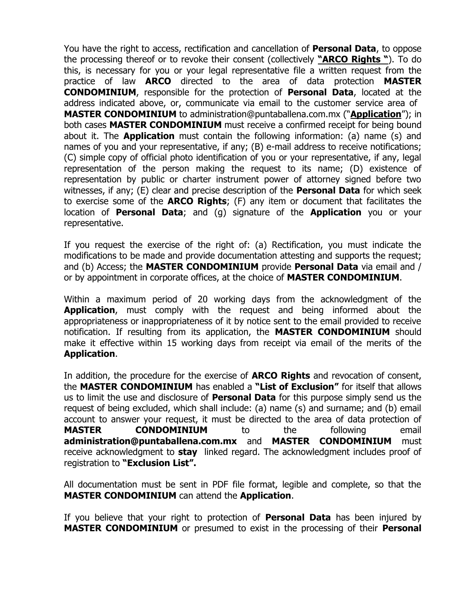You have the right to access, rectification and cancellation of **Personal Data**, to oppose the processing thereof or to revoke their consent (collectively **"ARCO Rights "**). To do this, is necessary for you or your legal representative file a written request from the practice of law **ARCO** directed to the area of data protection **MASTER CONDOMINIUM**, responsible for the protection of **Personal Data**, located at the address indicated above, or, communicate via email to the customer service area of **MASTER CONDOMINIUM** to administration@puntaballena.com.mx ("**Application**"); in both cases **MASTER CONDOMINIUM** must receive a confirmed receipt for being bound about it. The **Application** must contain the following information: (a) name (s) and names of you and your representative, if any; (B) e-mail address to receive notifications; (C) simple copy of official photo identification of you or your representative, if any, legal representation of the person making the request to its name; (D) existence of representation by public or charter instrument power of attorney signed before two witnesses, if any; (E) clear and precise description of the **Personal Data** for which seek to exercise some of the **ARCO Rights**; (F) any item or document that facilitates the location of **Personal Data**; and (g) signature of the **Application** you or your representative.

If you request the exercise of the right of: (a) Rectification, you must indicate the modifications to be made and provide documentation attesting and supports the request; and (b) Access; the **MASTER CONDOMINIUM** provide **Personal Data** via email and / or by appointment in corporate offices, at the choice of **MASTER CONDOMINIUM**.

Within a maximum period of 20 working days from the acknowledgment of the **Application**, must comply with the request and being informed about the appropriateness or inappropriateness of it by notice sent to the email provided to receive notification. If resulting from its application, the **MASTER CONDOMINIUM** should make it effective within 15 working days from receipt via email of the merits of the **Application**.

In addition, the procedure for the exercise of **ARCO Rights** and revocation of consent, the **MASTER CONDOMINIUM** has enabled a **"List of Exclusion"** for itself that allows us to limit the use and disclosure of **Personal Data** for this purpose simply send us the request of being excluded, which shall include: (a) name (s) and surname; and (b) email account to answer your request, it must be directed to the area of data protection of **MASTER CONDOMINIUM** to the following email **administration@puntaballena.com.mx** and **MASTER CONDOMINIUM** must receive acknowledgment to **stay** linked regard. The acknowledgment includes proof of registration to **"Exclusion List".**

All documentation must be sent in PDF file format, legible and complete, so that the **MASTER CONDOMINIUM** can attend the **Application**.

If you believe that your right to protection of **Personal Data** has been injured by **MASTER CONDOMINIUM** or presumed to exist in the processing of their **Personal**